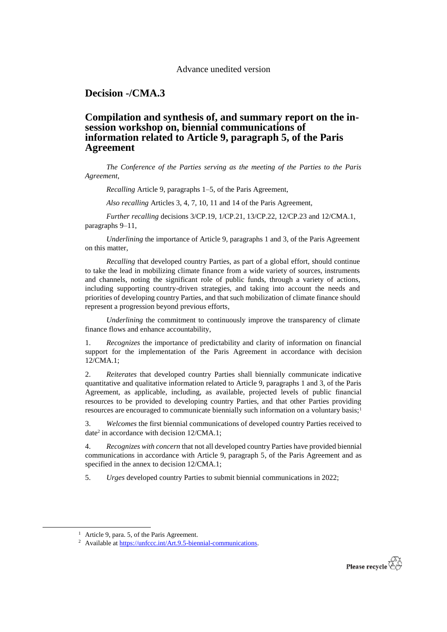## Advance unedited version

**Decision -/CMA.3**

## **Compilation and synthesis of, and summary report on the insession workshop on, biennial communications of information related to Article 9, paragraph 5, of the Paris Agreement**

*The Conference of the Parties serving as the meeting of the Parties to the Paris Agreement*,

*Recalling* Article 9, paragraphs 1–5, of the Paris Agreement,

*Also recalling* Articles 3, 4, 7, 10, 11 and 14 of the Paris Agreement,

*Further recalling* decisions 3/CP.19, 1/CP.21, 13/CP.22, 12/CP.23 and 12/CMA.1, paragraphs 9–11,

*Underlining* the importance of Article 9, paragraphs 1 and 3, of the Paris Agreement on this matter,

*Recalling* that developed country Parties, as part of a global effort, should continue to take the lead in mobilizing climate finance from a wide variety of sources, instruments and channels, noting the significant role of public funds, through a variety of actions, including supporting country-driven strategies, and taking into account the needs and priorities of developing country Parties, and that such mobilization of climate finance should represent a progression beyond previous efforts,

*Underlining* the commitment to continuously improve the transparency of climate finance flows and enhance accountability,

1. *Recognizes* the importance of predictability and clarity of information on financial support for the implementation of the Paris Agreement in accordance with decision 12/CMA.1;

2. *Reiterates* that developed country Parties shall biennially communicate indicative quantitative and qualitative information related to Article 9, paragraphs 1 and 3, of the Paris Agreement, as applicable, including, as available, projected levels of public financial resources to be provided to developing country Parties, and that other Parties providing resources are encouraged to communicate biennially such information on a voluntary basis;<sup>1</sup>

3. *Welcomes* the first biennial communications of developed country Parties received to date<sup>2</sup> in accordance with decision 12/CMA.1;

4. *Recognizes with concern* that not all developed country Parties have provided biennial communications in accordance with Article 9, paragraph 5, of the Paris Agreement and as specified in the annex to decision 12/CMA.1;

5. *Urges* developed country Parties to submit biennial communications in 2022;

1



<sup>&</sup>lt;sup>1</sup> Article 9, para. 5, of the Paris Agreement.

<sup>&</sup>lt;sup>2</sup> Available at [https://unfccc.int/Art.9.5-biennial-communications.](https://unfccc.int/Art.9.5-biennial-communications)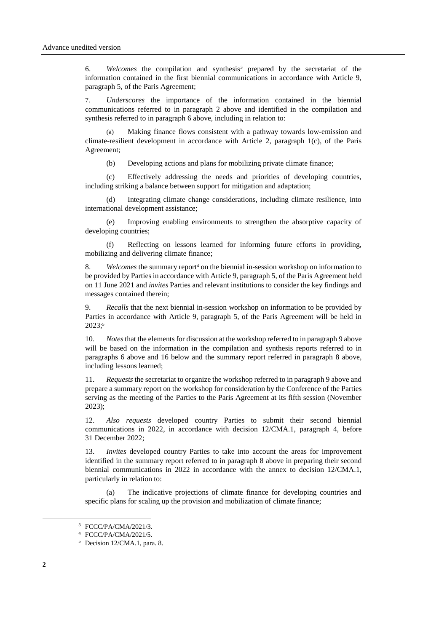6. *Welcomes* the compilation and synthesis<sup>3</sup> prepared by the secretariat of the information contained in the first biennial communications in accordance with Article 9, paragraph 5, of the Paris Agreement;

7. *Underscores* the importance of the information contained in the biennial communications referred to in paragraph 2 above and identified in the compilation and synthesis referred to in paragraph 6 above, including in relation to:

Making finance flows consistent with a pathway towards low-emission and climate-resilient development in accordance with Article 2, paragraph 1(c), of the Paris Agreement;

(b) Developing actions and plans for mobilizing private climate finance;

(c) Effectively addressing the needs and priorities of developing countries, including striking a balance between support for mitigation and adaptation;

Integrating climate change considerations, including climate resilience, into international development assistance;

(e) Improving enabling environments to strengthen the absorptive capacity of developing countries;

(f) Reflecting on lessons learned for informing future efforts in providing, mobilizing and delivering climate finance;

8. *Welcomes* the summary report<sup>4</sup> on the biennial in-session workshop on information to be provided by Parties in accordance with Article 9, paragraph 5, of the Paris Agreement held on 11 June 2021 and *invites* Parties and relevant institutions to consider the key findings and messages contained therein;

9. *Recalls* that the next biennial in-session workshop on information to be provided by Parties in accordance with Article 9, paragraph 5, of the Paris Agreement will be held in 2023;<sup>5</sup>

10. *Notes* that the elements for discussion at the workshop referred to in paragraph 9 above will be based on the information in the compilation and synthesis reports referred to in paragraphs 6 above and 16 below and the summary report referred in paragraph 8 above, including lessons learned;

11. *Requests* the secretariat to organize the workshop referred to in paragraph 9 above and prepare a summary report on the workshop for consideration by the Conference of the Parties serving as the meeting of the Parties to the Paris Agreement at its fifth session (November 2023);

12. *Also requests* developed country Parties to submit their second biennial communications in 2022, in accordance with decision 12/CMA.1, paragraph 4, before 31 December 2022;

13. *Invites* developed country Parties to take into account the areas for improvement identified in the summary report referred to in paragraph 8 above in preparing their second biennial communications in 2022 in accordance with the annex to decision 12/CMA.1, particularly in relation to:

(a) The indicative projections of climate finance for developing countries and specific plans for scaling up the provision and mobilization of climate finance;

-

<sup>3</sup> FCCC/PA/CMA/2021/3.

<sup>4</sup> FCCC/PA/CMA/2021/5.

<sup>5</sup> Decision 12/CMA.1, para. 8.